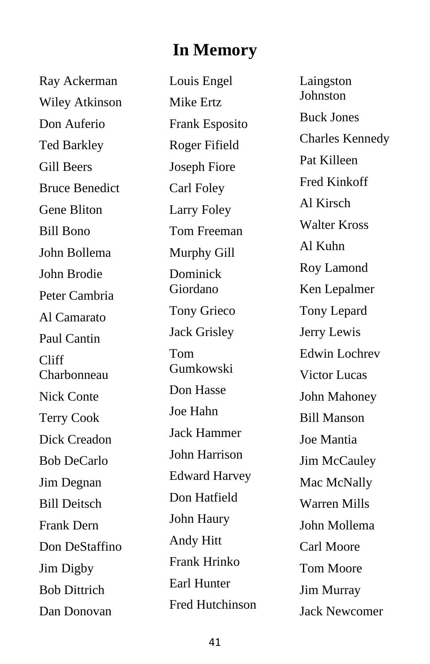## **In Memory**

Ray Ackerman Wiley Atkinson Don Auferio Ted Barkley Gill Beers Bruce Benedict Gene Bliton Bill Bono John Bollema John Brodie Peter Cambria Al Camarato Paul Cantin Cliff Charbonneau Nick Conte Terry Cook Dick Creadon Bob DeCarlo Jim Degnan Bill Deitsch Frank Dern Don DeStaffino Jim Digby Bob Dittrich Dan Donovan

Louis Engel Mike Ertz Frank Esposit o Roger Fifield Joseph Fiore Carl Foley Larry Foley Tom Freeman Murphy Gill Dominick Giordano Tony Grieco Jack Grisley Tom Gumkowski Don Hasse Joe Hahn Jack Hammer John Harrison Edward Harvey Don Hatfield John Haury Andy Hitt Frank Hrinko Earl Hunter Fred Hutchinson

Laingston Johnston Buck Jones Charles Kennedy Pat Killeen Fred Kinkoff Al Kirsch Walter Kross Al Kuhn Roy Lamond Ken Lepalmer Tony Lepard Jerry Lewis Edwin Lochrev Victor Lucas John Mahoney Bill Manson Joe Mantia Jim McCauley Mac McNally Warren Mills John Mollema Carl Moore Tom Moore Jim Murray Jack Newcomer